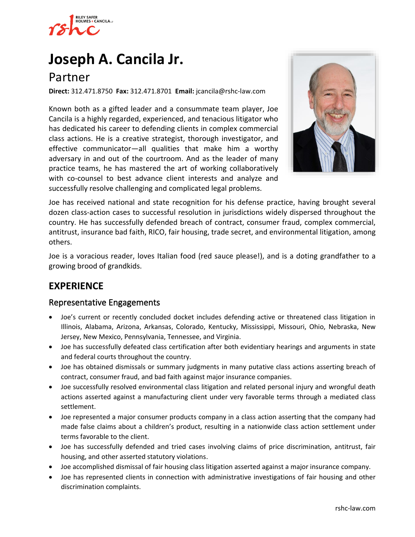

# **[Joseph A. Cancila Jr.](https://www.rshc-law.com/attorneys/attorney/joseph-a.-cancila-jr)**

# Partner

**Direct:** 312.471.8750 **Fax:** 312.471.8701 **Email:** jcancila@rshc-law.com

Known both as a gifted leader and a consummate team player, Joe Cancila is a highly regarded, experienced, and tenacious litigator who has dedicated his career to defending clients in complex commercial class actions. He is a creative strategist, thorough investigator, and effective communicator—all qualities that make him a worthy adversary in and out of the courtroom. And as the leader of many practice teams, he has mastered the art of working collaboratively with co-counsel to best advance client interests and analyze and successfully resolve challenging and complicated legal problems.



Joe has received national and state recognition for his defense practice, having brought several dozen class-action cases to successful resolution in jurisdictions widely dispersed throughout the country. He has successfully defended breach of contract, consumer fraud, complex commercial, antitrust, insurance bad faith, RICO, fair housing, trade secret, and environmental litigation, among others.

Joe is a voracious reader, loves Italian food (red sauce please!), and is a doting grandfather to a growing brood of grandkids.

# **EXPERIENCE**

## Representative Engagements

- Joe's current or recently concluded docket includes defending active or threatened class litigation in Illinois, Alabama, Arizona, Arkansas, Colorado, Kentucky, Mississippi, Missouri, Ohio, Nebraska, New Jersey, New Mexico, Pennsylvania, Tennessee, and Virginia.
- Joe has successfully defeated class certification after both evidentiary hearings and arguments in state and federal courts throughout the country.
- Joe has obtained dismissals or summary judgments in many putative class actions asserting breach of contract, consumer fraud, and bad faith against major insurance companies.
- Joe successfully resolved environmental class litigation and related personal injury and wrongful death actions asserted against a manufacturing client under very favorable terms through a mediated class settlement.
- Joe represented a major consumer products company in a class action asserting that the company had made false claims about a children's product, resulting in a nationwide class action settlement under terms favorable to the client.
- Joe has successfully defended and tried cases involving claims of price discrimination, antitrust, fair housing, and other asserted statutory violations.
- Joe accomplished dismissal of fair housing class litigation asserted against a major insurance company.
- Joe has represented clients in connection with administrative investigations of fair housing and other discrimination complaints.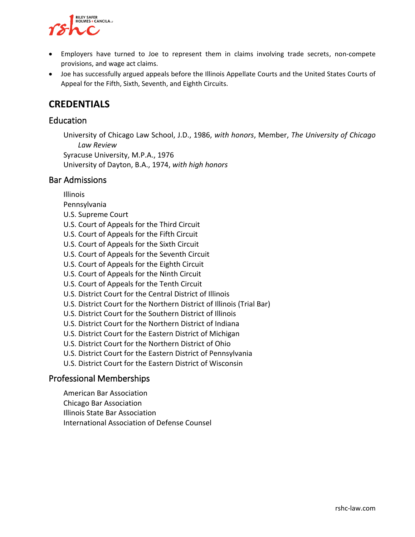

- Employers have turned to Joe to represent them in claims involving trade secrets, non-compete provisions, and wage act claims.
- Joe has successfully argued appeals before the Illinois Appellate Courts and the United States Courts of Appeal for the Fifth, Sixth, Seventh, and Eighth Circuits.

# **CREDENTIALS**

### **Education**

University of Chicago Law School, J.D., 1986, *with honors*, Member, *The University of Chicago Law Review* Syracuse University, M.P.A., 1976

University of Dayton, B.A., 1974, *with high honors*

#### Bar Admissions

Illinois

- Pennsylvania
- U.S. Supreme Court
- U.S. Court of Appeals for the Third Circuit
- U.S. Court of Appeals for the Fifth Circuit
- U.S. Court of Appeals for the Sixth Circuit
- U.S. Court of Appeals for the Seventh Circuit
- U.S. Court of Appeals for the Eighth Circuit
- U.S. Court of Appeals for the Ninth Circuit
- U.S. Court of Appeals for the Tenth Circuit
- U.S. District Court for the Central District of Illinois
- U.S. District Court for the Northern District of Illinois (Trial Bar)
- U.S. District Court for the Southern District of Illinois
- U.S. District Court for the Northern District of Indiana
- U.S. District Court for the Eastern District of Michigan
- U.S. District Court for the Northern District of Ohio
- U.S. District Court for the Eastern District of Pennsylvania
- U.S. District Court for the Eastern District of Wisconsin

## Professional Memberships

American Bar Association Chicago Bar Association Illinois State Bar Association International Association of Defense Counsel